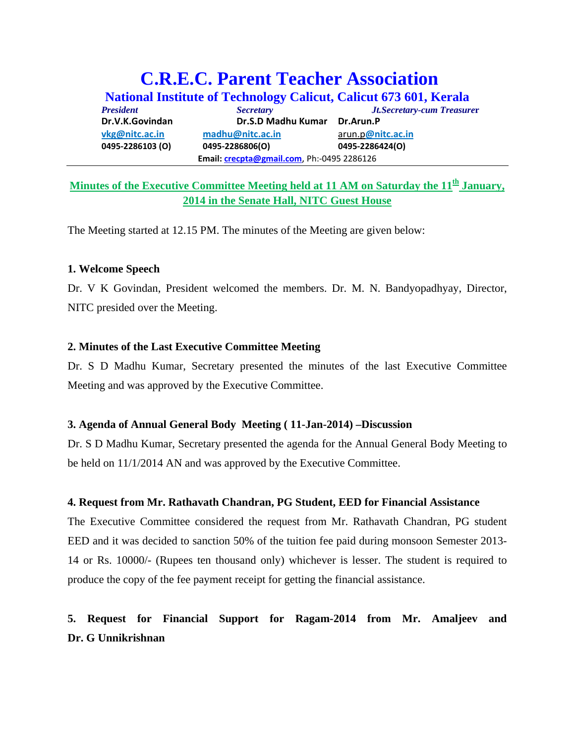# **C.R.E.C. Parent Teacher Association**

**National Institute of Technology Calicut, Calicut 673 601, Kerala** *President Secretary Jt.Secretary-cum Treasure***r Dr.V.K.Govindan Dr.S.D Madhu Kumar Dr.Arun.P [vkg@nitc.ac.in](mailto:vkg@nitc.ac.in) [madhu@nitc.ac.in](mailto:madhu@nitc.ac.in)** arun.p**@nitc.ac.in 0495‐2286103 (O) 0495‐2286806(O) 0495‐2286424(O) Email: [crecpta@gmail.com](mailto:crecpta@gmail.com)**, Ph:‐0495 2286126

### **Minutes of the Executive Committee Meeting held at 11 AM on Saturday the 11th January, 2014 in the Senate Hall, NITC Guest House**

The Meeting started at 12.15 PM. The minutes of the Meeting are given below:

#### **1. Welcome Speech**

Dr. V K Govindan, President welcomed the members. Dr. M. N. Bandyopadhyay, Director, NITC presided over the Meeting.

#### **2. Minutes of the Last Executive Committee Meeting**

Dr. S D Madhu Kumar, Secretary presented the minutes of the last Executive Committee Meeting and was approved by the Executive Committee.

#### **3. Agenda of Annual General Body Meeting ( 11-Jan-2014) –Discussion**

Dr. S D Madhu Kumar, Secretary presented the agenda for the Annual General Body Meeting to be held on 11/1/2014 AN and was approved by the Executive Committee.

#### **4. Request from Mr. Rathavath Chandran, PG Student, EED for Financial Assistance**

The Executive Committee considered the request from Mr. Rathavath Chandran, PG student EED and it was decided to sanction 50% of the tuition fee paid during monsoon Semester 2013- 14 or Rs. 10000/- (Rupees ten thousand only) whichever is lesser. The student is required to produce the copy of the fee payment receipt for getting the financial assistance.

## **5. Request for Financial Support for Ragam-2014 from Mr. Amaljeev and Dr. G Unnikrishnan**